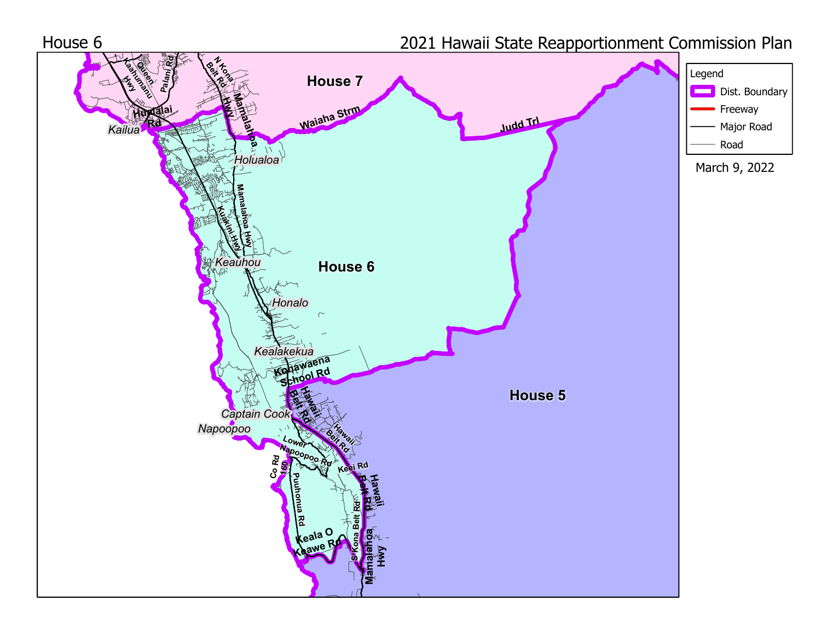